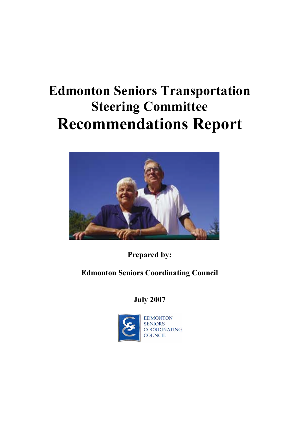# **Edmonton Seniors Transportation Steering Committee Recommendations Report**



**Prepared by:**

**Edmonton Seniors Coordinating Council**

**July 2007**

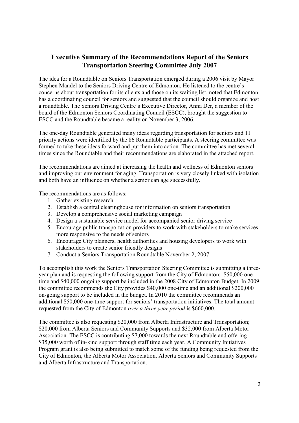## **Executive Summary of the Recommendations Report of the Seniors Transportation Steering Committee July 2007**

The idea for a Roundtable on Seniors Transportation emerged during a 2006 visit by Mayor Stephen Mandel to the Seniors Driving Centre of Edmonton. He listened to the centre's concerns about transportation for its clients and those on its waiting list, noted that Edmonton has a coordinating council for seniors and suggested that the council should organize and host a roundtable. The Seniors Driving Centre's Executive Director, Anna Der, a member of the board of the Edmonton Seniors Coordinating Council (ESCC), brought the suggestion to ESCC and the Roundtable became a reality on November 3, 2006.

The one-day Roundtable generated many ideas regarding transportation for seniors and 11 priority actions were identified by the 86 Roundtable participants. A steering committee was formed to take these ideas forward and put them into action. The committee has met several times since the Roundtable and their recommendations are elaborated in the attached report.

The recommendations are aimed at increasing the health and wellness of Edmonton seniors and improving our environment for aging. Transportation is very closely linked with isolation and both have an influence on whether a senior can age successfully.

The recommendations are as follows:

- 1. Gather existing research
- 2. Establish a central clearinghouse for information on seniors transportation
- 3. Develop a comprehensive social marketing campaign
- 4. Design a sustainable service model for accompanied senior driving service
- 5. Encourage public transportation providers to work with stakeholders to make services more responsive to the needs of seniors
- 6. Encourage City planners, health authorities and housing developers to work with stakeholders to create senior friendly designs
- 7. Conduct a Seniors Transportation Roundtable November 2, 2007

To accomplish this work the Seniors Transportation Steering Committee is submitting a threeyear plan and is requesting the following support from the City of Edmonton: \$50,000 onetime and \$40,000 ongoing support be included in the 2008 City of Edmonton Budget. In 2009 the committee recommends the City provides \$40,000 one-time and an additional \$200,000 on-going support to be included in the budget. In 2010 the committee recommends an additional \$50,000 one-time support for seniors' transportation initiatives. The total amount requested from the City of Edmonton *over a three year period* is \$660,000.

The committee is also requesting \$20,000 from Alberta Infrastructure and Transportation; \$20,000 from Alberta Seniors and Community Supports and \$32,000 from Alberta Motor Association. The ESCC is contributing \$7,000 towards the next Roundtable and offering \$35,000 worth of in-kind support through staff time each year. A Community Initiatives Program grant is also being submitted to match some of the funding being requested from the City of Edmonton, the Alberta Motor Association, Alberta Seniors and Community Supports and Alberta Infrastructure and Transportation.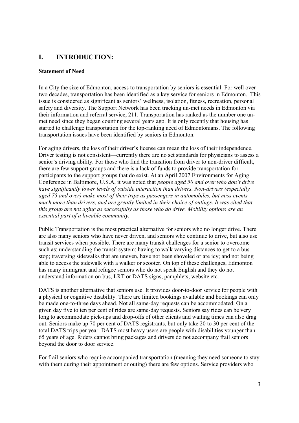## **I. INTRODUCTION:**

#### **Statement of Need**

In a City the size of Edmonton, access to transportation by seniors is essential. For well over two decades, transportation has been identified as a key service for seniors in Edmonton. This issue is considered as significant as seniors' wellness, isolation, fitness, recreation, personal safety and diversity. The Support Network has been tracking un-met needs in Edmonton via their information and referral service, 211. Transportation has ranked as the number one unmet need since they began counting several years ago. It is only recently that housing has started to challenge transportation for the top-ranking need of Edmontonians. The following transportation issues have been identified by seniors in Edmonton.

For aging drivers, the loss of their driver's license can mean the loss of their independence. Driver testing is not consistent—currently there are no set standards for physicians to assess a senior's driving ability. For those who find the transition from driver to non-driver difficult, there are few support groups and there is a lack of funds to provide transportation for participants to the support groups that do exist. At an April 2007 Environments for Aging Conference in Baltimore, U.S.A, it was noted that *people aged 50 and over who don't drive have significantly lower levels of outside interaction than drivers. Non-drivers (especially aged 75 and over) make most of their trips as passengers in automobiles, but miss events much more than drivers, and are greatly limited in their choice of outings. It was cited that this group are not aging as successfully as those who do drive. Mobility options are an essential part of a liveable community.*

Public Transportation is the most practical alternative for seniors who no longer drive. There are also many seniors who have never driven, and seniors who continue to drive, but also use transit services when possible. There are many transit challenges for a senior to overcome such as: understanding the transit system; having to walk varying distances to get to a bus stop; traversing sidewalks that are uneven, have not been shoveled or are icy; and not being able to access the sidewalk with a walker or scooter. On top of these challenges, Edmonton has many immigrant and refugee seniors who do not speak English and they do not understand information on bus, LRT or DATS signs, pamphlets, website etc.

DATS is another alternative that seniors use. It provides door-to-door service for people with a physical or cognitive disability. There are limited bookings available and bookings can only be made one-to-three days ahead. Not all same-day requests can be accommodated. On a given day five to ten per cent of rides are same-day requests. Seniors say rides can be very long to accommodate pick-ups and drop-offs of other clients and waiting times can also drag out. Seniors make up 70 per cent of DATS registrants, but only take 20 to 30 per cent of the total DATS trips per year. DATS most heavy users are people with disabilities younger than 65 years of age. Riders cannot bring packages and drivers do not accompany frail seniors beyond the door to door service.

For frail seniors who require accompanied transportation (meaning they need someone to stay with them during their appointment or outing) there are few options. Service providers who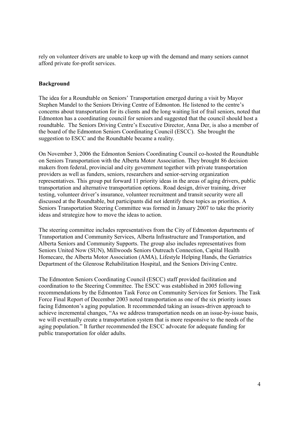rely on volunteer drivers are unable to keep up with the demand and many seniors cannot afford private for-profit services.

#### **Background**

The idea for a Roundtable on Seniors' Transportation emerged during a visit by Mayor Stephen Mandel to the Seniors Driving Centre of Edmonton. He listened to the centre's concerns about transportation for its clients and the long waiting list of frail seniors, noted that Edmonton has a coordinating council for seniors and suggested that the council should host a roundtable. The Seniors Driving Centre's Executive Director, Anna Der, is also a member of the board of the Edmonton Seniors Coordinating Council (ESCC). She brought the suggestion to ESCC and the Roundtable became a reality.

On November 3, 2006 the Edmonton Seniors Coordinating Council co-hosted the Roundtable on Seniors Transportation with the Alberta Motor Association. They brought 86 decision makers from federal, provincial and city government together with private transportation providers as well as funders, seniors, researchers and senior-serving organization representatives. This group put forward 11 priority ideas in the areas of aging drivers, public transportation and alternative transportation options. Road design, driver training, driver testing, volunteer driver's insurance, volunteer recruitment and transit security were all discussed at the Roundtable, but participants did not identify these topics as priorities. A Seniors Transportation Steering Committee was formed in January 2007 to take the priority ideas and strategize how to move the ideas to action.

The steering committee includes representatives from the City of Edmonton departments of Transportation and Community Services, Alberta Infrastructure and Transportation, and Alberta Seniors and Community Supports. The group also includes representatives from Seniors United Now (SUN), Millwoods Seniors Outreach Connection, Capital Health Homecare, the Alberta Motor Association (AMA), Lifestyle Helping Hands, the Geriatrics Department of the Glenrose Rehabilitation Hospital, and the Seniors Driving Centre.

The Edmonton Seniors Coordinating Council (ESCC) staff provided facilitation and coordination to the Steering Committee. The ESCC was established in 2005 following recommendations by the Edmonton Task Force on Community Services for Seniors. The Task Force Final Report of December 2003 noted transportation as one of the six priority issues facing Edmonton's aging population. It recommended taking an issues-driven approach to achieve incremental changes, "As we address transportation needs on an issue-by-issue basis, we will eventually create a transportation system that is more responsive to the needs of the aging population." It further recommended the ESCC advocate for adequate funding for public transportation for older adults.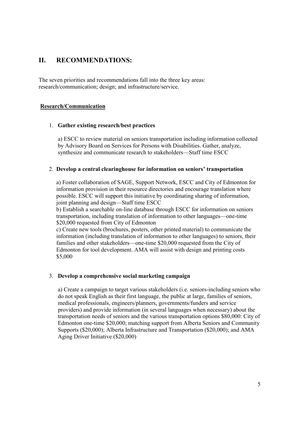## **II. RECOMMENDATIONS:**

The seven priorities and recommendations fall into the three key areas: research/communication; design; and infrastructure/service.

#### **Research/Communication**

#### 1. **Gather existing research/best practices**

a) ESCC to review material on seniors transportation including information collected by Advisory Board on Services for Persons with Disabilities. Gather, analyze, synthesize and communicate research to stakeholders—Staff time ESCC

#### 2. **Develop a central clearinghouse for information on seniors' transportation**

a) Foster collaboration of SAGE, Support Network, ESCC and City of Edmonton for information provision in their resource directories and encourage translation where possible. ESCC will support this initiative by coordinating sharing of information, joint planning and design—Staff time ESCC

b) Establish a searchable on-line database through ESCC for information on seniors transportation, including translation of information to other languages—one-time \$20,000 requested from City of Edmonton

c) Create new tools (brochures, posters, other printed material) to communicate the information (including translation of information to other languages) to seniors, their families and other stakeholders—one-time \$20,000 requested from the City of Edmonton for tool development. AMA will assist with design and printing costs \$5,000

#### 3. **Develop a comprehensive social marketing campaign**

a) Create a campaign to target various stakeholders (i.e. seniors-including seniors who do not speak English as their first language, the public at large, families of seniors, medical professionals, engineers/planners, governments/funders and service providers) and provide information (in several languages when necessary) about the transportation needs of seniors and the various transportation options \$80,000: City of Edmonton one-time \$20,000; matching support from Alberta Seniors and Community Supports (\$20,000); Alberta Infrastructure and Transportation (\$20,000); and AMA Aging Driver Initiative (\$20,000)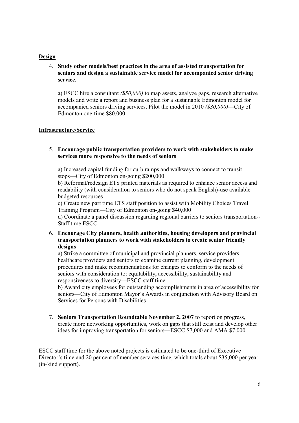#### **Design**

4. **Study other models/best practices in the area of assisted transportation for seniors and design a sustainable service model for accompanied senior driving service.**

a) ESCC hire a consultant *(\$50,000)* to map assets, analyze gaps, research alternative models and write a report and business plan for a sustainable Edmonton model for accompanied seniors driving services. Pilot the model in 2010 *(\$30,000)*—City of Edmonton one-time \$80,000

#### **Infrastructure/Service**

#### 5. **Encourage public transportation providers to work with stakeholders to make services more responsive to the needs of seniors**

a) Increased capital funding for curb ramps and walkways to connect to transit stops—City of Edmonton on-going \$200,000

b) Reformat/redesign ETS printed materials as required to enhance senior access and readability (with consideration to seniors who do not speak English)-use available budgeted resources

c) Create new part time ETS staff position to assist with Mobility Choices Travel Training Program—City of Edmonton on-going \$40,000

d) Coordinate a panel discussion regarding regional barriers to seniors transportation-- Staff time ESCC

6. **Encourage City planners, health authorities, housing developers and provincial transportation planners to work with stakeholders to create senior friendly designs**

a) Strike a committee of municipal and provincial planners, service providers, healthcare providers and seniors to examine current planning, development procedures and make recommendations for changes to conform to the needs of seniors with consideration to: equitability, accessibility, sustainability and responsiveness to diversity—ESCC staff time

b) Award city employees for outstanding accomplishments in area of accessibility for seniors—City of Edmonton Mayor's Awards in conjunction with Advisory Board on Services for Persons with Disabilities

7. **Seniors Transportation Roundtable November 2, 2007** to report on progress, create more networking opportunities, work on gaps that still exist and develop other ideas for improving transportation for seniors—ESCC \$7,000 and AMA \$7,000

ESCC staff time for the above noted projects is estimated to be one-third of Executive Director's time and 20 per cent of member services time, which totals about \$35,000 per year (in-kind support).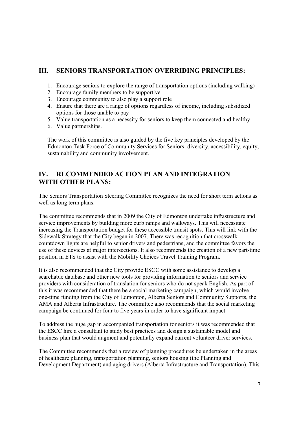## **III. SENIORS TRANSPORTATION OVERRIDING PRINCIPLES:**

- 1. Encourage seniors to explore the range of transportation options (including walking)
- 2. Encourage family members to be supportive
- 3. Encourage community to also play a support role
- 4. Ensure that there are a range of options regardless of income, including subsidized options for those unable to pay
- 5. Value transportation as a necessity for seniors to keep them connected and healthy
- 6. Value partnerships.

The work of this committee is also guided by the five key principles developed by the Edmonton Task Force of Community Services for Seniors: diversity, accessibility, equity, sustainability and community involvement.

## **IV. RECOMMENDED ACTION PLAN AND INTEGRATION WITH OTHER PLANS:**

The Seniors Transportation Steering Committee recognizes the need for short term actions as well as long term plans.

The committee recommends that in 2009 the City of Edmonton undertake infrastructure and service improvements by building more curb ramps and walkways. This will necessitate increasing the Transportation budget for these accessible transit spots. This will link with the Sidewalk Strategy that the City began in 2007. There was recognition that crosswalk countdown lights are helpful to senior drivers and pedestrians, and the committee favors the use of these devices at major intersections. It also recommends the creation of a new part-time position in ETS to assist with the Mobility Choices Travel Training Program.

It is also recommended that the City provide ESCC with some assistance to develop a searchable database and other new tools for providing information to seniors and service providers with consideration of translation for seniors who do not speak English. As part of this it was recommended that there be a social marketing campaign, which would involve one-time funding from the City of Edmonton, Alberta Seniors and Community Supports, the AMA and Alberta Infrastructure. The committee also recommends that the social marketing campaign be continued for four to five years in order to have significant impact.

To address the huge gap in accompanied transportation for seniors it was recommended that the ESCC hire a consultant to study best practices and design a sustainable model and business plan that would augment and potentially expand current volunteer driver services.

The Committee recommends that a review of planning procedures be undertaken in the areas of healthcare planning, transportation planning, seniors housing (the Planning and Development Department) and aging drivers (Alberta Infrastructure and Transportation). This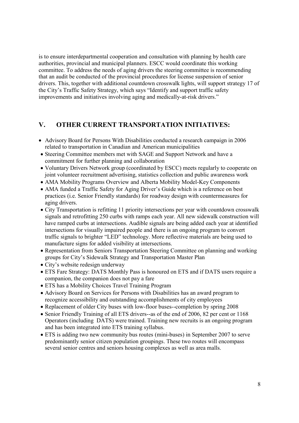is to ensure interdepartmental cooperation and consultation with planning by health care authorities, provincial and municipal planners. ESCC would coordinate this working committee. To address the needs of aging drivers the steering committee is recommending that an audit be conducted of the provincial procedures for license suspension of senior drivers. This, together with additional countdown crosswalk lights, will support strategy 17 of the City's Traffic Safety Strategy, which says "Identify and support traffic safety improvements and initiatives involving aging and medically-at-risk drivers."

## **V. OTHER CURRENT TRANSPORTATION INITIATIVES:**

- Advisory Board for Persons With Disabilities conducted a research campaign in 2006 related to transportation in Canadian and American municipalities
- Steering Committee members met with SAGE and Support Network and have a commitment for further planning and collaboration
- Voluntary Drivers Network group (coordinated by ESCC) meets regularly to cooperate on joint volunteer recruitment advertising, statistics collection and public awareness work
- AMA Mobility Programs Overview and Alberta Mobility Model-Key Components
- AMA funded a Traffic Safety for Aging Driver's Guide which is a reference on best practices (i.e. Senior Friendly standards) for roadway design with countermeasures for aging drivers.
- City Transportation is refitting 11 priority intersections per year with countdown crosswalk signals and retrofitting 250 curbs with ramps each year. All new sidewalk construction will have ramped curbs at intersections. Audible signals are being added each year at identified intersections for visually impaired people and there is an ongoing program to convert traffic signals to brighter "LED" technology. More reflective materials are being used to manufacture signs for added visibility at intersections.
- Representation from Seniors Transportation Steering Committee on planning and working groups for City's Sidewalk Strategy and Transportation Master Plan
- City's website redesign underway
- ETS Fare Strategy: DATS Monthly Pass is honoured on ETS and if DATS users require a companion, the companion does not pay a fare
- ETS has a Mobility Choices Travel Training Program
- Advisory Board on Services for Persons with Disabilities has an award program to recognize accessibility and outstanding accomplishments of city employees
- Replacement of older City buses with low-floor buses--completion by spring 2008
- Senior Friendly Training of all ETS drivers--as of the end of 2006, 82 per cent or 1168 Operators (including DATS) were trained. Training new recruits is an ongoing program and has been integrated into ETS training syllabus.
- ETS is adding two new community bus routes (mini-buses) in September 2007 to serve predominantly senior citizen population groupings. These two routes will encompass several senior centres and seniors housing complexes as well as area malls.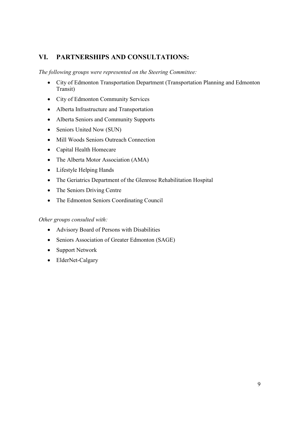## **VI. PARTNERSHIPS AND CONSULTATIONS:**

*The following groups were represented on the Steering Committee:*

- City of Edmonton Transportation Department (Transportation Planning and Edmonton Transit)
- City of Edmonton Community Services
- Alberta Infrastructure and Transportation
- Alberta Seniors and Community Supports
- Seniors United Now (SUN)
- Mill Woods Seniors Outreach Connection
- Capital Health Homecare
- The Alberta Motor Association (AMA)
- Lifestyle Helping Hands
- The Geriatrics Department of the Glenrose Rehabilitation Hospital
- The Seniors Driving Centre
- The Edmonton Seniors Coordinating Council

#### *Other groups consulted with:*

- Advisory Board of Persons with Disabilities
- Seniors Association of Greater Edmonton (SAGE)
- Support Network
- ElderNet-Calgary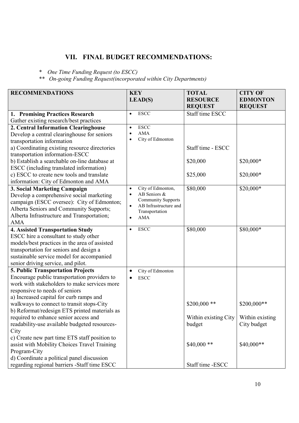## **VII. FINAL BUDGET RECOMMENDATIONS:**

*\* One Time Funding Request (to ESCC)*

*\*\* On-going Funding Request(incorporated within City Departments)*

| <b>RECOMMENDATIONS</b>                        | <b>KEY</b>                                         | <b>TOTAL</b>         | <b>CITY OF</b>  |
|-----------------------------------------------|----------------------------------------------------|----------------------|-----------------|
|                                               | LEAD(S)                                            | <b>RESOURCE</b>      | <b>EDMONTON</b> |
|                                               |                                                    | <b>REQUEST</b>       | <b>REQUEST</b>  |
| 1. Promising Practices Research               | <b>ESCC</b><br>$\bullet$                           | Staff time ESCC      |                 |
| Gather existing research/best practices       |                                                    |                      |                 |
| 2. Central Information Clearinghouse          | <b>ESCC</b><br>$\bullet$                           |                      |                 |
| Develop a central clearinghouse for seniors   | <b>AMA</b>                                         |                      |                 |
| transportation information                    | City of Edmonton                                   |                      |                 |
| a) Coordinating existing resource directories |                                                    | Staff time - ESCC    |                 |
| transportation information-ESCC               |                                                    |                      |                 |
| b) Establish a searchable on-line database at |                                                    | \$20,000             | \$20,000*       |
| ESCC (including translated information)       |                                                    |                      |                 |
| c) ESCC to create new tools and translate     |                                                    | \$25,000             | \$20,000*       |
| information: City of Edmonton and AMA         |                                                    |                      |                 |
| 3. Social Marketing Campaign                  | City of Edmonton,<br>$\bullet$                     | \$80,000             | \$20,000*       |
| Develop a comprehensive social marketing      | AB Seniors &<br>$\bullet$                          |                      |                 |
| campaign (ESCC oversee): City of Edmonton;    | <b>Community Supports</b><br>AB Infrastructure and |                      |                 |
| Alberta Seniors and Community Supports;       | $\bullet$<br>Transportation                        |                      |                 |
| Alberta Infrastructure and Transportation;    | <b>AMA</b>                                         |                      |                 |
| AMA                                           |                                                    |                      |                 |
| <b>4. Assisted Transportation Study</b>       | <b>ESCC</b>                                        | \$80,000             | \$80,000*       |
| ESCC hire a consultant to study other         |                                                    |                      |                 |
| models/best practices in the area of assisted |                                                    |                      |                 |
| transportation for seniors and design a       |                                                    |                      |                 |
| sustainable service model for accompanied     |                                                    |                      |                 |
| senior driving service, and pilot.            |                                                    |                      |                 |
| 5. Public Transportation Projects             | City of Edmonton<br>٠                              |                      |                 |
| Encourage public transportation providers to  | <b>ESCC</b>                                        |                      |                 |
| work with stakeholders to make services more  |                                                    |                      |                 |
| responsive to needs of seniors                |                                                    |                      |                 |
| a) Increased capital for curb ramps and       |                                                    |                      |                 |
| walkways to connect to transit stops-City     |                                                    | $$200,000$ **        | \$200,000**     |
| b) Reformat/redesign ETS printed materials as |                                                    |                      |                 |
| required to enhance senior access and         |                                                    | Within existing City | Within existing |
| readability-use available budgeted resources- |                                                    | budget               | City budget     |
| City                                          |                                                    |                      |                 |
| c) Create new part time ETS staff position to |                                                    |                      |                 |
| assist with Mobility Choices Travel Training  |                                                    | $$40,000**$          | \$40,000**      |
| Program-City                                  |                                                    |                      |                 |
| d) Coordinate a political panel discussion    |                                                    |                      |                 |
| regarding regional barriers -Staff time ESCC  |                                                    | Staff time -ESCC     |                 |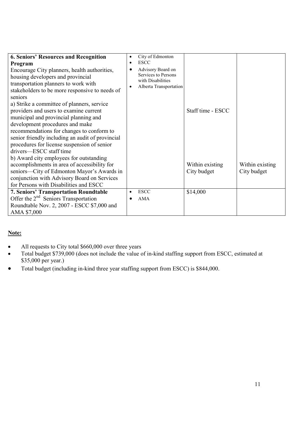| <b>6. Seniors' Resources and Recognition</b><br>Program<br>Encourage City planners, health authorities,<br>housing developers and provincial<br>transportation planners to work with<br>stakeholders to be more responsive to needs of<br>seniors<br>a) Strike a committee of planners, service<br>providers and users to examine current<br>municipal and provincial planning and<br>development procedures and make | City of Edmonton<br>$\bullet$<br><b>ESCC</b><br>$\bullet$<br>Advisory Board on<br>Services to Persons<br>with Disabilities<br>Alberta Transportation | Staff time - ESCC              |                                |
|-----------------------------------------------------------------------------------------------------------------------------------------------------------------------------------------------------------------------------------------------------------------------------------------------------------------------------------------------------------------------------------------------------------------------|------------------------------------------------------------------------------------------------------------------------------------------------------|--------------------------------|--------------------------------|
| recommendations for changes to conform to<br>senior friendly including an audit of provincial<br>procedures for license suspension of senior<br>drivers—ESCC staff time<br>b) Award city employees for outstanding<br>accomplishments in area of accessibility for<br>seniors—City of Edmonton Mayor's Awards in<br>conjunction with Advisory Board on Services<br>for Persons with Disabilities and ESCC             |                                                                                                                                                      | Within existing<br>City budget | Within existing<br>City budget |
| <b>7. Seniors' Transportation Roundtable</b><br>Offer the 2 <sup>nd</sup> Seniors Transportation<br>Roundtable Nov. 2, 2007 - ESCC \$7,000 and<br>AMA \$7,000                                                                                                                                                                                                                                                         | <b>ESCC</b><br>$\bullet$<br><b>AMA</b>                                                                                                               | \$14,000                       |                                |

## **Note:**

- All requests to City total \$660,000 over three years
- Total budget \$739,000 (does not include the value of in-kind staffing support from ESCC, estimated at \$35,000 per year.)
- Total budget (including in-kind three year staffing support from ESCC) is \$844,000.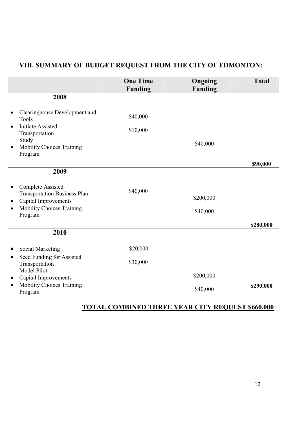# **VIII. SUMMARY OF BUDGET REQUEST FROM THE CITY OF EDMONTON:**

|                                                                                                                   | <b>One Time</b><br><b>Funding</b> | Ongoing<br><b>Funding</b> | <b>Total</b> |
|-------------------------------------------------------------------------------------------------------------------|-----------------------------------|---------------------------|--------------|
| 2008                                                                                                              |                                   |                           |              |
| Clearinghouse Development and<br>Tools                                                                            | \$40,000                          |                           |              |
| <b>Initiate Assisted</b><br>$\bullet$<br>Transportation                                                           | \$10,000                          |                           |              |
| Study<br>Mobility Choices Training<br>Program                                                                     |                                   | \$40,000                  |              |
|                                                                                                                   |                                   |                           | \$90,000     |
| 2009                                                                                                              |                                   |                           |              |
| <b>Complete Assisted</b><br>$\bullet$<br><b>Transportation Business Plan</b><br>Capital Improvements<br>$\bullet$ | \$40,000                          | \$200,000                 |              |
| Mobility Choices Training<br>$\bullet$<br>Program                                                                 |                                   | \$40,000                  |              |
|                                                                                                                   |                                   |                           | \$280,000    |
| 2010                                                                                                              |                                   |                           |              |
| Social Marketing                                                                                                  | \$20,000                          |                           |              |
| Seed Funding for Assisted<br>$\bullet$<br>Transportation<br>Model Pilot                                           | \$30,000                          |                           |              |
| Capital Improvements                                                                                              |                                   | \$200,000                 |              |
| <b>Mobility Choices Training</b><br>Program                                                                       |                                   | \$40,000                  | \$290,000    |

## **TOTAL COMBINED THREE YEAR CITY REQUEST \$660,000**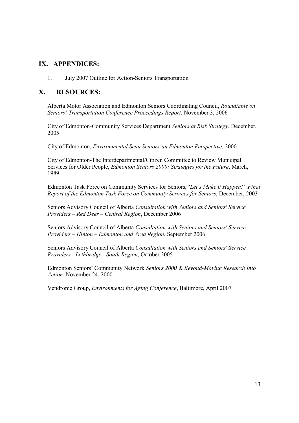## **IX. APPENDICES:**

1. July 2007 Outline for Action-Seniors Transportation

## **X. RESOURCES:**

Alberta Motor Association and Edmonton Seniors Coordinating Council, *Roundtable on Seniors' Transportation Conference Proceedings Report*, November 3, 2006

City of Edmonton-Community Services Department *Seniors at Risk Strategy*, December, 2005

City of Edmonton, *Environmental Scan Seniors-an Edmonton Perspective*, 2000

City of Edmonton-The Interdepartmental/Citizen Committee to Review Municipal Services for Older People, *Edmonton Seniors 2000: Strategies for the Future*, March, 1989

Edmonton Task Force on Community Services for Seniors,*"Let's Make it Happen!" Final Report of the Edmonton Task Force on Community Services for Seniors*, December, 2003

Seniors Advisory Council of Alberta *Consultation with Seniors and Seniors' Service Providers – Red Deer – Central Region*, December 2006

Seniors Advisory Council of Alberta *Consultation with Seniors and Seniors' Service Providers – Hinton – Edmonton and Area Region*, September 2006

Seniors Advisory Council of Alberta *Consultation with Seniors and Seniors' Service Providers - Lethbridge - South Region*, October 2005

Edmonton Seniors' Community Network *Seniors 2000 & Beyond-Moving Research Into Action*, November 24, 2000

Vendrome Group, *Environments for Aging Conference*, Baltimore, April 2007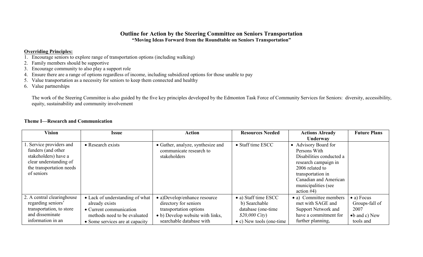## **Outline for Action by the Steering Committee on Seniors Transportation "Moving Ideas Forward from the Roundtable on Seniors Transportation"**

#### **Overriding Principles:**

- 1. Encourage seniors to explore range of transportation options (including walking)
- 2. Family members should be supportive
- 3. Encourage community to also play a support role
- 4. Ensure there are a range of options regardless of income, including subsidized options for those unable to pay
- 5. Value transportation as a necessity for seniors to keep them connected and healthy
- 6. Value partnerships

The work of the Steering Committee is also guided by the five key principles developed by the Edmonton Task Force of Community Services for Seniors: diversity, accessibility, equity, sustainability and community involvement

#### **Theme I—Research and Communication**

| <b>Vision</b>                                                                                                                             | <b>Issue</b>                                                                                                                                    | <b>Action</b>                                                                                                                                   | <b>Resources Needed</b>                                                                                             | <b>Actions Already</b>                                                                                                                                                                            | <b>Future Plans</b>                                                                 |
|-------------------------------------------------------------------------------------------------------------------------------------------|-------------------------------------------------------------------------------------------------------------------------------------------------|-------------------------------------------------------------------------------------------------------------------------------------------------|---------------------------------------------------------------------------------------------------------------------|---------------------------------------------------------------------------------------------------------------------------------------------------------------------------------------------------|-------------------------------------------------------------------------------------|
|                                                                                                                                           |                                                                                                                                                 |                                                                                                                                                 |                                                                                                                     | Underway                                                                                                                                                                                          |                                                                                     |
| . Service providers and<br>funders (and other<br>stakeholders) have a<br>clear understanding of<br>the transportation needs<br>of seniors | • Research exists                                                                                                                               | • Gather, analyze, synthesize and<br>communicate research to<br>stakeholders                                                                    | • Staff time ESCC                                                                                                   | • Advisory Board for<br>Persons With<br>Disabilities conducted a<br>research campaign in<br>2006 related to<br>transportation in<br>Canadian and American<br>municipalities (see<br>action $#4$ ) |                                                                                     |
| 2. A central clearinghouse<br>regarding seniors'<br>transportation, to store<br>and disseminate<br>information in an                      | • Lack of understanding of what<br>already exists<br>• Current communication<br>methods need to be evaluated<br>• Some services are at capacity | • a)Develop/enhance resource<br>directory for seniors<br>transportation options<br>• b) Develop website with links,<br>searchable database with | • a) Staff time ESCC<br>b) Searchable<br>database (one-time)<br>$$20,000$ City)<br>$\bullet$ c) New tools (one-time | • a) Committee members<br>met with SAGE and<br><b>Support Network and</b><br>have a commitment for<br>further planning,                                                                           | $\bullet$ a) Focus<br>Groups-fall of<br>2007<br>$\bullet$ b and c) New<br>tools and |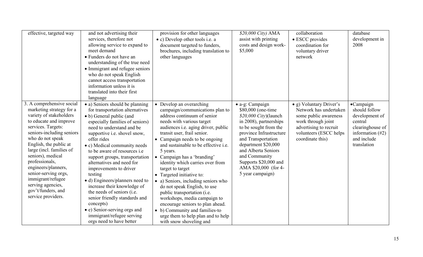| effective, targeted way                                                                                                                                                                                                                                                                                                                                                                                             | and not advertising their<br>services, therefore not<br>allowing service to expand to<br>meet demand<br>• Funders do not have an<br>understanding of the true need<br>• Immigrant and refugee seniors<br>who do not speak English<br>cannot access transportation<br>information unless it is<br>translated into their first<br>language                                                                                                                                                                                                                                                                                        | provision for other languages<br>• c) Develop other tools i.e. a<br>document targeted to funders,<br>brochures, including translation to<br>other languages                                                                                                                                                                                                                                                                                                                                                                                                                                                                                                                                        | \$20,000 City) AMA<br>assist with printing<br>costs and design work-<br>\$5,000                                                                                                                                                                                                                         | collaboration<br>• ESCC provides<br>coordination for<br>voluntary driver<br>network                                                                                      | database<br>development in<br>2008                                                                                                        |
|---------------------------------------------------------------------------------------------------------------------------------------------------------------------------------------------------------------------------------------------------------------------------------------------------------------------------------------------------------------------------------------------------------------------|---------------------------------------------------------------------------------------------------------------------------------------------------------------------------------------------------------------------------------------------------------------------------------------------------------------------------------------------------------------------------------------------------------------------------------------------------------------------------------------------------------------------------------------------------------------------------------------------------------------------------------|----------------------------------------------------------------------------------------------------------------------------------------------------------------------------------------------------------------------------------------------------------------------------------------------------------------------------------------------------------------------------------------------------------------------------------------------------------------------------------------------------------------------------------------------------------------------------------------------------------------------------------------------------------------------------------------------------|---------------------------------------------------------------------------------------------------------------------------------------------------------------------------------------------------------------------------------------------------------------------------------------------------------|--------------------------------------------------------------------------------------------------------------------------------------------------------------------------|-------------------------------------------------------------------------------------------------------------------------------------------|
| 3. A comprehensive social<br>marketing strategy for a<br>variety of stakeholders<br>to educate and improve<br>services. Targets:<br>seniors-including seniors<br>who do not speak<br>English, the public at<br>large (incl. families of<br>seniors), medical<br>professionals,<br>engineers/planners,<br>senior-serving orgs,<br>immigrant/refugee<br>serving agencies,<br>gov't/funders, and<br>service providers. | • a) Seniors should be planning<br>for transportation alternatives<br>• b) General public (and<br>especially families of seniors)<br>need to understand and be<br>supportive i.e. shovel snow,<br>offer rides<br>• c) Medical community needs<br>to be aware of resources <i>i.e</i><br>support groups, transportation<br>alternatives and need for<br>improvements to driver<br>testing<br>• d) Engineers/planners need to<br>increase their knowledge of<br>the needs of seniors (i.e.<br>senior friendly standards and<br>concepts)<br>• e) Senior-serving orgs and<br>immigrant/refugee serving<br>orgs need to have better | • Develop an overarching<br>campaign/communications plan to<br>address continuum of senior<br>needs with various target<br>audiences <i>i.e.</i> aging driver, public<br>transit user, frail senior.<br>• Campaign needs to be ongoing<br>and sustainable to be effective <i>i.e.</i><br>5 years.<br>• Campaign has a 'branding'<br>identity which carries over from<br>target to target<br>• Targeted initiative to:<br>• a) Seniors, including seniors who<br>do not speak English, to use<br>public transportation (i.e.<br>workshops, media campaign to<br>encourage seniors to plan ahead.<br>• b) Community and families-to<br>urge them to help plan and to help<br>with snow shoveling and | • a-g: Campaign<br>\$80,000 (one-time<br>$$20,000$ City)(launch<br>in 2008), partnerships<br>to be sought from the<br>province Infrastructure<br>and Transportation<br>department \$20,000<br>and Alberta Seniors<br>and Community<br>Supports \$20,000 and<br>AMA \$20,000 (for 4-<br>5 year campaign) | • g) Voluntary Driver's<br>Network has undertaken<br>some public awareness<br>work through joint<br>advertising to recruit<br>volunteers (ESCC helps<br>coordinate this) | $\bullet$ Campaign<br>should follow<br>development of<br>central<br>clearinghouse of<br>information $(\#2)$<br>and include<br>translation |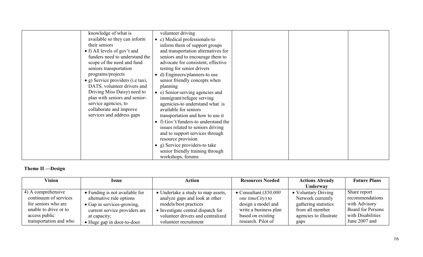| knowledge of what is                      | volunteer driving                    |
|-------------------------------------------|--------------------------------------|
|                                           |                                      |
| available so they can inform              | c) Medical professionals-to          |
| their seniors                             | inform them of support groups        |
| • f) All levels of gov't and              | and transportation alternatives for  |
| funders need to understand the            | seniors and to encourage them to     |
| scope of the need and fund                | advocate for consistent, effective   |
| seniors transportation                    | testing for senior drivers           |
| programs/projects                         | d) Engineers/planners-to use         |
| $\bullet$ g) Service providers (i.e taxi, | senior friendly concepts when        |
| DATS, volunteer drivers and               | planning                             |
| Driving Miss Daisy) need to               | e) Senior-serving agencies and       |
| plan with seniors and senior-             | immigrant/refugee serving            |
| service agencies, to                      | agenicies-to understand what is      |
| collaborate and improve                   | available for seniors                |
| services and address gaps                 | transportation and how to use it     |
|                                           | • f) Gov't/funders-to understand the |
|                                           | issues related to seniors driving    |
|                                           | and to support services through      |
|                                           | resource provision                   |
|                                           |                                      |
|                                           | g) Service providers-to take         |
|                                           | senior friendly training through     |
|                                           | workshops, forums                    |

# **Theme II —Design**

| <b>Vision</b>          | Issue                          | Action                             | <b>Resources Needed</b>  | <b>Actions Already</b> | <b>Future Plans</b>      |
|------------------------|--------------------------------|------------------------------------|--------------------------|------------------------|--------------------------|
|                        |                                |                                    |                          | Underway               |                          |
| 4) A comprehensive     | • Funding is not available for | • Undertake a study to map assets, | • Consultant $(\$50,000$ | • Voluntary Driving    | Share report             |
| continuum of services  | alternative ride options       | analyze gaps and look at other     | one timeCity) to         | Network currently      | recommendations          |
| for seniors who are    | • Gap in services-growing,     | models/best practices              | design a model and       | gathering statistics   | with Advisory            |
| unable to drive or to  | current service providers are  | • Investigate central dispatch for | write a business plan    | from all member        | <b>Board for Persons</b> |
| access public          | at capacity;                   | volunteer drivers and centralized  | based on existing        | agencies to illustrate | with Disabilities        |
| transportation and who | • Huge gap in door-to-door     | volunteer recruitment              | research. Pilot of       | gaps                   | June 2007 and            |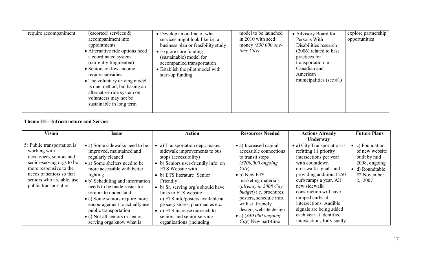| require accompaniment | (escorted) services $\&$<br>accompaniment into<br>appointments<br>• Alternative ride options need<br>a coordinated system<br>(currently fragmented)<br>• Seniors on low-income<br>require subsidies<br>• The voluntary driving model<br>is one method, but basing an<br>alternative ride system on<br>volunteers may not be<br>sustainable in long term | • Develop an outline of what<br>services might look like i.e. a<br>business plan or feasibility study<br>$\bullet$ Explore core funding<br>(sustainable) model for<br>accompanied transportation<br>• Establish the pilot model with<br>start-up funding | model to be launched<br>in 2010 with seed<br>money $(\$30,000$ one-<br>$time City$ ). | • Advisory Board for<br>Persons With<br>Disabilities research<br>$(2006)$ related to best<br>practices for<br>transportation in<br>Canadian and<br>American<br>municipalities (see $\#1$ ) | explore partnership<br>opportunities |
|-----------------------|---------------------------------------------------------------------------------------------------------------------------------------------------------------------------------------------------------------------------------------------------------------------------------------------------------------------------------------------------------|----------------------------------------------------------------------------------------------------------------------------------------------------------------------------------------------------------------------------------------------------------|---------------------------------------------------------------------------------------|--------------------------------------------------------------------------------------------------------------------------------------------------------------------------------------------|--------------------------------------|
|-----------------------|---------------------------------------------------------------------------------------------------------------------------------------------------------------------------------------------------------------------------------------------------------------------------------------------------------------------------------------------------------|----------------------------------------------------------------------------------------------------------------------------------------------------------------------------------------------------------------------------------------------------------|---------------------------------------------------------------------------------------|--------------------------------------------------------------------------------------------------------------------------------------------------------------------------------------------|--------------------------------------|

## **Theme III—Infrastructure and Service**

| <b>Vision</b>                                                                                                                                                                                                   | <i><b>Issue</b></i>                                                                                                                                                                                                                                                                                                                                                                                                | <b>Action</b>                                                                                                                                                                                                                                                                                                                                                                                                                    | <b>Resources Needed</b>                                                                                                                                                                                                                                                                                                                              | <b>Actions Already</b>                                                                                                                                                                                                                                                                                                                                     | <b>Future Plans</b>                                                                                                     |
|-----------------------------------------------------------------------------------------------------------------------------------------------------------------------------------------------------------------|--------------------------------------------------------------------------------------------------------------------------------------------------------------------------------------------------------------------------------------------------------------------------------------------------------------------------------------------------------------------------------------------------------------------|----------------------------------------------------------------------------------------------------------------------------------------------------------------------------------------------------------------------------------------------------------------------------------------------------------------------------------------------------------------------------------------------------------------------------------|------------------------------------------------------------------------------------------------------------------------------------------------------------------------------------------------------------------------------------------------------------------------------------------------------------------------------------------------------|------------------------------------------------------------------------------------------------------------------------------------------------------------------------------------------------------------------------------------------------------------------------------------------------------------------------------------------------------------|-------------------------------------------------------------------------------------------------------------------------|
|                                                                                                                                                                                                                 |                                                                                                                                                                                                                                                                                                                                                                                                                    |                                                                                                                                                                                                                                                                                                                                                                                                                                  |                                                                                                                                                                                                                                                                                                                                                      | Underway                                                                                                                                                                                                                                                                                                                                                   |                                                                                                                         |
| 5) Public transportation is<br>working with<br>developers, seniors and<br>senior-serving orgs to be<br>more responsive to the<br>needs of seniors so that<br>seniors who are able, use<br>public transportation | • a) Some sidewalks need to be<br>improved, maintained and<br>regularly cleaned<br>• a) Some shelters need to be<br>more accessible with better<br>lighting<br>• b) Scheduling and information<br>needs to be made easier for<br>seniors to understand<br>• c) Some seniors require more<br>encouragement to actually use<br>public transportation<br>• c) Not all seniors or senior-<br>serving orgs know what is | • a) Transportation dept. makes<br>sidewalk improvements to bus<br>stops (accessibility)<br>• b) Seniors user-friendly info. on<br>ETS Website with<br>• b) ETS literature 'Senior<br>Friendly'<br>• b) Sr. serving org's should have<br>links to ETS website<br>c) ETS info/posters available at<br>grocery stores, pharmacies etc.<br>• c) ETS increase outreach to<br>seniors and senior-serving<br>organizations (including) | • a) Increased capital<br>accessible connections<br>to transit stops<br>$($200,000$ ongoing<br>City)<br>$\bullet$ b) New ETS<br>marketing materials<br>(already in 2008 City<br><i>budget</i> ) i.e. brochures,<br>posters, schedule info.<br>with sr. friendly<br>design, website design<br>• c) $(\text{$}40,000$ ongoing<br>$City)$ New part-time | • a) City Transportation is<br>refitting 11 priority<br>intersections per year<br>with countdown<br>crosswalk signals and<br>providing additional 250<br>curb ramps a year. All<br>new sidewalk<br>construction will have<br>ramped curbs at<br>intersections. Audible<br>signals are being added<br>each year at identified<br>intersections for visually | $\bullet$ c) Foundation<br>of new website<br>built by mid<br>2008, ongoing<br>• d) Roundtable<br>#2 November<br>2, 2007 |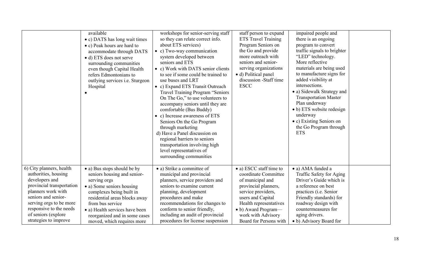|                           | available<br>• c) DATS has long wait times<br>• c) Peak hours are hard to<br>accommodate through DATS<br>• d) ETS does not serve<br>surrounding communities<br>even though Capital Health<br>refers Edmontonians to<br>outlying services i.e. Sturgeon<br>Hospital | workshops for senior-serving staff<br>so they can relate correct info.<br>about ETS services)<br>• c) Two-way communication<br>system developed between<br>seniors and ETS<br>• c) Work with DATS senior clients<br>to see if some could be trained to<br>use buses and LRT<br>• c) Expand ETS Transit Outreach<br><b>Travel Training Program "Seniors</b><br>On The Go," to use volunteers to<br>accompany seniors until they are<br>comfortable (Bus Buddy)<br>• c) Increase awareness of ETS<br>Seniors On the Go Program<br>through marketing<br>d) Have a Panel discussion on<br>regional barriers to seniors<br>transportation involving high<br>level representatives of<br>surrounding communities | staff person to expand<br><b>ETS</b> Travel Training<br>Program Seniors on<br>the Go and provide<br>more outreach with<br>seniors and senior-<br>serving organizations<br>• d) Political panel<br>discussion -Staff time<br><b>ESCC</b> | impaired people and<br>there is an ongoing<br>program to convert<br>traffic signals to brighter<br>"LED" technology.<br>More reflective<br>materials are being used<br>to manufacture signs for<br>added visibility at<br>intersections.<br>• a) Sidewalk Strategy and<br><b>Transportation Master</b><br>Plan underway<br>• b) ETS website redesign<br>underway<br>• c) Existing Seniors on<br>the Go Program through<br><b>ETS</b> |  |
|---------------------------|--------------------------------------------------------------------------------------------------------------------------------------------------------------------------------------------------------------------------------------------------------------------|------------------------------------------------------------------------------------------------------------------------------------------------------------------------------------------------------------------------------------------------------------------------------------------------------------------------------------------------------------------------------------------------------------------------------------------------------------------------------------------------------------------------------------------------------------------------------------------------------------------------------------------------------------------------------------------------------------|-----------------------------------------------------------------------------------------------------------------------------------------------------------------------------------------------------------------------------------------|--------------------------------------------------------------------------------------------------------------------------------------------------------------------------------------------------------------------------------------------------------------------------------------------------------------------------------------------------------------------------------------------------------------------------------------|--|
| 6) City planners, health  | • a) Bus stops should be by                                                                                                                                                                                                                                        | • a) Strike a committee of                                                                                                                                                                                                                                                                                                                                                                                                                                                                                                                                                                                                                                                                                 | • a) ESCC staff time to                                                                                                                                                                                                                 | • a) AMA funded a                                                                                                                                                                                                                                                                                                                                                                                                                    |  |
| authorities, housing      | seniors housing and senior-                                                                                                                                                                                                                                        | municipal and provincial                                                                                                                                                                                                                                                                                                                                                                                                                                                                                                                                                                                                                                                                                   | coordinate Committee                                                                                                                                                                                                                    | Traffic Safety for Aging                                                                                                                                                                                                                                                                                                                                                                                                             |  |
| developers and            | serving orgs                                                                                                                                                                                                                                                       | planners, service providers and                                                                                                                                                                                                                                                                                                                                                                                                                                                                                                                                                                                                                                                                            | of municipal and                                                                                                                                                                                                                        | Driver's Guide which is                                                                                                                                                                                                                                                                                                                                                                                                              |  |
| provincial transportation | • a) Some seniors housing                                                                                                                                                                                                                                          | seniors to examine current                                                                                                                                                                                                                                                                                                                                                                                                                                                                                                                                                                                                                                                                                 | provincial planners,                                                                                                                                                                                                                    | a reference on best                                                                                                                                                                                                                                                                                                                                                                                                                  |  |
| planners work with        | complexes being built in                                                                                                                                                                                                                                           | planning, development                                                                                                                                                                                                                                                                                                                                                                                                                                                                                                                                                                                                                                                                                      | service providers,                                                                                                                                                                                                                      | practices (i.e. Senior                                                                                                                                                                                                                                                                                                                                                                                                               |  |
| seniors and senior-       | residential areas blocks away                                                                                                                                                                                                                                      | procedures and make                                                                                                                                                                                                                                                                                                                                                                                                                                                                                                                                                                                                                                                                                        | users and Capital                                                                                                                                                                                                                       | Friendly standards) for                                                                                                                                                                                                                                                                                                                                                                                                              |  |
| serving orgs to be more   | from bus service                                                                                                                                                                                                                                                   | recommendations for changes to                                                                                                                                                                                                                                                                                                                                                                                                                                                                                                                                                                                                                                                                             | Health representatives                                                                                                                                                                                                                  | roadway design with                                                                                                                                                                                                                                                                                                                                                                                                                  |  |
| responsive to the needs   | • a) Health services have been                                                                                                                                                                                                                                     | conform to senior friendly,                                                                                                                                                                                                                                                                                                                                                                                                                                                                                                                                                                                                                                                                                | • b) Award Program—                                                                                                                                                                                                                     | countermeasures for                                                                                                                                                                                                                                                                                                                                                                                                                  |  |
| of seniors (explore       | reorganized and in some cases                                                                                                                                                                                                                                      | including an audit of provincial                                                                                                                                                                                                                                                                                                                                                                                                                                                                                                                                                                                                                                                                           | work with Advisory                                                                                                                                                                                                                      | aging drivers.                                                                                                                                                                                                                                                                                                                                                                                                                       |  |
| strategies to improve     | moved, which requires more                                                                                                                                                                                                                                         | procedures for license suspension                                                                                                                                                                                                                                                                                                                                                                                                                                                                                                                                                                                                                                                                          | Board for Persons with                                                                                                                                                                                                                  | • b) Advisory Board for                                                                                                                                                                                                                                                                                                                                                                                                              |  |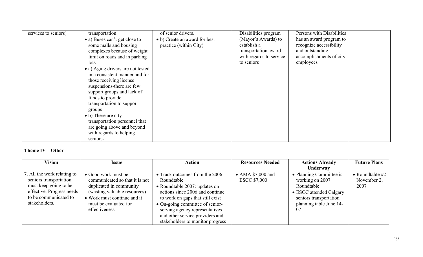| services to seniors) | transportation                    | of senior drivers.            | Disabilities program    | Persons with Disabilities |
|----------------------|-----------------------------------|-------------------------------|-------------------------|---------------------------|
|                      | • a) Buses can't get close to     | • b) Create an award for best | (Mayor's Awards) to     | has an award program to   |
|                      | some malls and housing            | practice (within City)        | establish a             | recognize accessibility   |
|                      | complexes because of weight       |                               | transportation award    | and outstanding           |
|                      | limit on roads and in parking     |                               | with regards to service | accomplishments of city   |
|                      | lots                              |                               | to seniors              | employees                 |
|                      | • a) Aging drivers are not tested |                               |                         |                           |
|                      | in a consistent manner and for    |                               |                         |                           |
|                      | those receiving license           |                               |                         |                           |
|                      | suspensions-there are few         |                               |                         |                           |
|                      | support groups and lack of        |                               |                         |                           |
|                      | funds to provide                  |                               |                         |                           |
|                      | transportation to support         |                               |                         |                           |
|                      | groups                            |                               |                         |                           |
|                      | • b) There are city               |                               |                         |                           |
|                      | transportation personnel that     |                               |                         |                           |
|                      | are going above and beyond        |                               |                         |                           |
|                      | with regards to helping           |                               |                         |                           |
|                      | seniors.                          |                               |                         |                           |

## **Theme IV—Other**

| Vision                                                                                                                                                | <b>Issue</b>                                                                                                                                                                              | <b>Action</b>                                                                                                                                                                                                                                                                                            | <b>Resources Needed</b>                          | <b>Actions Already</b>                                                                                                                         | <b>Future Plans</b>                      |
|-------------------------------------------------------------------------------------------------------------------------------------------------------|-------------------------------------------------------------------------------------------------------------------------------------------------------------------------------------------|----------------------------------------------------------------------------------------------------------------------------------------------------------------------------------------------------------------------------------------------------------------------------------------------------------|--------------------------------------------------|------------------------------------------------------------------------------------------------------------------------------------------------|------------------------------------------|
|                                                                                                                                                       |                                                                                                                                                                                           |                                                                                                                                                                                                                                                                                                          |                                                  | <b>Underway</b>                                                                                                                                |                                          |
| 7. All the work relating to<br>seniors transportation<br>must keep going to be<br>effective. Progress needs<br>to be communicated to<br>stakeholders. | • Good work must be<br>communicated so that it is not<br>duplicated in community<br>(wasting valuable resources)<br>• Work must continue and it<br>must be evaluated for<br>effectiveness | • Track outcomes from the 2006<br>Roundtable<br>• Roundtable 2007: updates on<br>actions since 2006 and continue<br>to work on gaps that still exist<br>$\bullet$ On-going committee of senior-<br>serving agency representatives<br>and other service providers and<br>stakeholders to monitor progress | $\bullet$ AMA \$7,000 and<br><b>ESCC \$7,000</b> | • Planning Committee is<br>working on 2007<br>Roundtable<br>• ESCC attended Calgary<br>seniors transportation<br>planning table June 14-<br>07 | • Roundtable $#2$<br>November 2,<br>2007 |